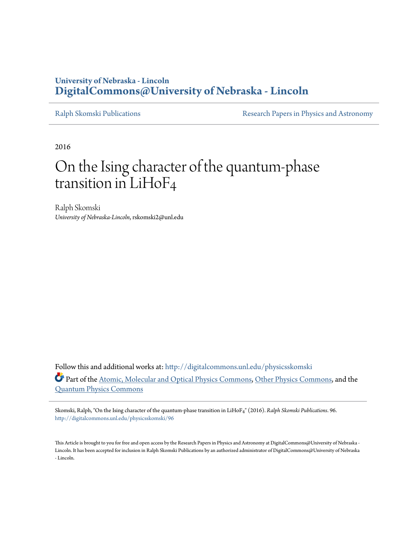## **University of Nebraska - Lincoln [DigitalCommons@University of Nebraska - Lincoln](http://digitalcommons.unl.edu?utm_source=digitalcommons.unl.edu%2Fphysicsskomski%2F96&utm_medium=PDF&utm_campaign=PDFCoverPages)**

[Ralph Skomski Publications](http://digitalcommons.unl.edu/physicsskomski?utm_source=digitalcommons.unl.edu%2Fphysicsskomski%2F96&utm_medium=PDF&utm_campaign=PDFCoverPages) **[Research Papers in Physics and Astronomy](http://digitalcommons.unl.edu/physicsresearch?utm_source=digitalcommons.unl.edu%2Fphysicsskomski%2F96&utm_medium=PDF&utm_campaign=PDFCoverPages)** 

2016

# On the Ising character of the quantum-phase transition in LiHoF4

Ralph Skomski *University of Nebraska-Lincoln*, rskomski2@unl.edu

Follow this and additional works at: [http://digitalcommons.unl.edu/physicsskomski](http://digitalcommons.unl.edu/physicsskomski?utm_source=digitalcommons.unl.edu%2Fphysicsskomski%2F96&utm_medium=PDF&utm_campaign=PDFCoverPages) Part of the [Atomic, Molecular and Optical Physics Commons,](http://network.bepress.com/hgg/discipline/195?utm_source=digitalcommons.unl.edu%2Fphysicsskomski%2F96&utm_medium=PDF&utm_campaign=PDFCoverPages) [Other Physics Commons](http://network.bepress.com/hgg/discipline/207?utm_source=digitalcommons.unl.edu%2Fphysicsskomski%2F96&utm_medium=PDF&utm_campaign=PDFCoverPages), and the [Quantum Physics Commons](http://network.bepress.com/hgg/discipline/206?utm_source=digitalcommons.unl.edu%2Fphysicsskomski%2F96&utm_medium=PDF&utm_campaign=PDFCoverPages)

Skomski, Ralph, "On the Ising character of the quantum-phase transition in LiHoF4" (2016). *Ralph Skomski Publications*. 96. [http://digitalcommons.unl.edu/physicsskomski/96](http://digitalcommons.unl.edu/physicsskomski/96?utm_source=digitalcommons.unl.edu%2Fphysicsskomski%2F96&utm_medium=PDF&utm_campaign=PDFCoverPages)

This Article is brought to you for free and open access by the Research Papers in Physics and Astronomy at DigitalCommons@University of Nebraska - Lincoln. It has been accepted for inclusion in Ralph Skomski Publications by an authorized administrator of DigitalCommons@University of Nebraska - Lincoln.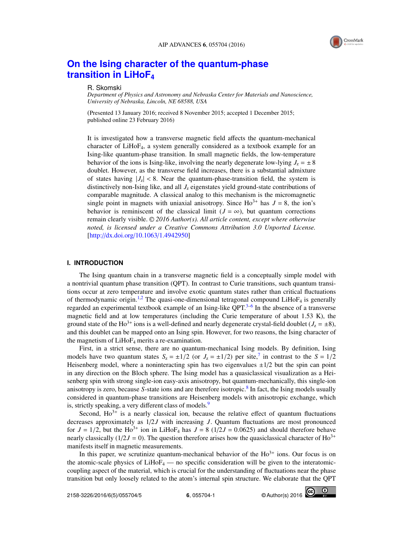

## **[On the Ising character of the quantum-phase](http://dx.doi.org/10.1063/1.4942950) [transition in LiHoF](http://dx.doi.org/10.1063/1.4942950)<sup>4</sup>**

## R. Skomski

*Department of Physics and Astronomy and Nebraska Center for Materials and Nanoscience, University of Nebraska, Lincoln, NE 68588, USA*

(Presented 13 January 2016; received 8 November 2015; accepted 1 December 2015; published online 23 February 2016)

It is investigated how a transverse magnetic field affects the quantum-mechanical character of LiHoF4, a system generally considered as a textbook example for an Ising-like quantum-phase transition. In small magnetic fields, the low-temperature behavior of the ions is Ising-like, involving the nearly degenerate low-lying  $J_z = \pm 8$ doublet. However, as the transverse field increases, there is a substantial admixture of states having  $|J_z| < 8$ . Near the quantum-phase-transition field, the system is distinctively non-Ising like, and all *J*<sup>z</sup> eigenstates yield ground-state contributions of comparable magnitude. A classical analog to this mechanism is the micromagnetic single point in magnets with uniaxial anisotropy. Since  $Ho^{3+}$  has  $J = 8$ , the ion's behavior is reminiscent of the classical limit ( $J = \infty$ ), but quantum corrections remain clearly visible. <sup>C</sup> *2016 Author(s). All article content, except where otherwise noted, is licensed under a Creative Commons Attribution 3.0 Unported License.* [\[http:](http://dx.doi.org/10.1063/1.4942950)//[dx.doi.org](http://dx.doi.org/10.1063/1.4942950)/[10.1063](http://dx.doi.org/10.1063/1.4942950)/[1.4942950\]](http://dx.doi.org/10.1063/1.4942950)

## **I. INTRODUCTION**

The Ising quantum chain in a transverse magnetic field is a conceptually simple model with a nontrivial quantum phase transition (QPT). In contrast to Curie transitions, such quantum transitions occur at zero temperature and involve exotic quantum states rather than critical fluctuations of thermodynamic origin.<sup>[1,](#page-5-0)[2](#page-5-1)</sup> The quasi-one-dimensional tetragonal compound LiHo $F_4$  is generally regarded an experimental textbook example of an Ising-like QPT.<sup>[3](#page-5-2)[–6](#page-5-3)</sup> In the absence of a transverse magnetic field and at low temperatures (including the Curie temperature of about 1.53 K), the ground state of the Ho<sup>3+</sup> ions is a well-defined and nearly degenerate crystal-field doublet ( $J_z = \pm 8$ ), and this doublet can be mapped onto an Ising spin. However, for two reasons, the Ising character of the magnetism of  $LiHoF<sub>4</sub>$  merits a re-examination.

First, in a strict sense, there are no quantum-mechanical Ising models. By definition, Ising models have two quantum states  $S_z = \pm 1/2$  (or  $J_z = \pm 1/2$ ) per site,<sup>[7](#page-5-4)</sup> in contrast to the  $S = 1/2$ <br>Heisenberg model, where a noninteracting spin has two eigenvalues  $\pm 1/2$  but the spin can point Heisenberg model, where a noninteracting spin has two eigenvalues  $\pm 1/2$  but the spin can point in any direction on the Bloch sphere. The Ising model has a quasiclassical visualization as a Heisenberg spin with strong single-ion easy-axis anisotropy, but quantum-mechanically, this single-ion anisotropy is zero, because *S*-state ions and are therefore isotropic.[8](#page-5-5) In fact, the Ising models usually considered in quantum-phase transitions are Heisenberg models with anisotropic exchange, which is, strictly speaking, a very different class of models.<sup>[9](#page-5-6)</sup>

Second,  $Ho^{3+}$  is a nearly classical ion, because the relative effect of quantum fluctuations decreases approximately as 1/2*J* with increasing *J*. Quantum fluctuations are most pronounced for  $J = 1/2$ , but the Ho<sup>3+</sup> ion in LiHoF<sub>4</sub> has  $J = 8$  (1/2*J* = 0.0625) and should therefore behave<br>nearly classically (1/2*J* = 0). The question therefore arises how the quasiclassical character of Ho<sup>3+</sup> nearly classically  $(1/2J = 0)$ . The question therefore arises how the quasiclassical character of Ho<sup>3+</sup> manifests itself in magnetic measurements.

In this paper, we scrutinize quantum-mechanical behavior of the  $Ho^{3+}$  ions. Our focus is on the atomic-scale physics of  $LiHoF_4$  — no specific consideration will be given to the interatomiccoupling aspect of the material, which is crucial for the understanding of fluctuations near the phase transition but only loosely related to the atom's internal spin structure. We elaborate that the QPT

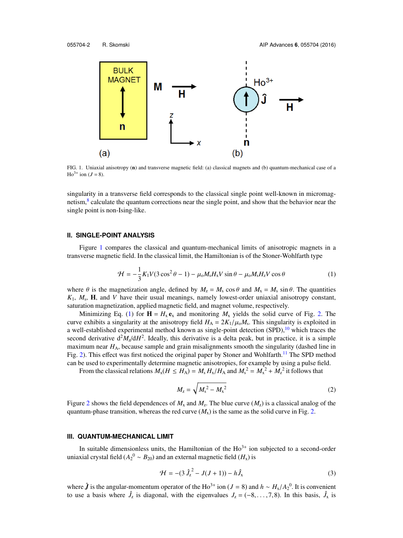<span id="page-2-0"></span>

FIG. 1. Uniaxial anisotropy (n) and transverse magnetic field: (a) classical magnets and (b) quantum-mechanical case of a  $Ho^{3+}$  ion (*J* = 8).

singularity in a transverse field corresponds to the classical single point well-known in micromag-netism,<sup>[8](#page-5-5)</sup> calculate the quantum corrections near the single point, and show that the behavior near the single point is non-Ising-like.

### **II. SINGLE-POINT ANALYSIS**

Figure [1](#page-2-0) compares the classical and quantum-mechanical limits of anisotropic magnets in a transverse magnetic field. In the classical limit, the Hamiltonian is of the Stoner-Wohlfarth type

$$
\mathcal{H} = -\frac{1}{3}K_1V(3\cos^2\theta - 1) - \mu_0M_sH_xV\sin\theta - \mu_0M_sH_zV\cos\theta
$$
 (1)

where  $\theta$  is the magnetization angle, defined by  $M_z = M_s \cos \theta$  and  $M_x = M_s \sin \theta$ . The quantities *K*1, *M*<sup>s</sup> , H, and *V* have their usual meanings, namely lowest-order uniaxial anisotropy constant, saturation magnetization, applied magnetic field, and magnet volume, respectively.

Minimizing Eq. [\(1\)](#page-2-1) for  $\mathbf{H} = H_{\rm x} \mathbf{e}_{\rm x}$  and monitoring  $M_{\rm x}$  yields the solid curve of Fig. [2.](#page-3-0) The curve exhibits a singularity at the anisotropy field  $H_A = 2K_1/\mu_0 M_s$ . This singularity is exploited in<br>a well-established experimental method known as single-point detection (SPD) <sup>10</sup> which traces the a well-established experimental method known as single-point detection  $(SPD)$ ,<sup>[10](#page-5-7)</sup> which traces the second derivative  $d^2M_\text{z}/dH^2$ . Ideally, this derivative is a delta peak, but in practice, it is a simple maximum near H<sub>A</sub>, because sample and grain misalignments smooth the singularity (dashed line in Fig. [2\)](#page-3-0). This effect was first noticed the original paper by Stoner and Wohlfarth.<sup>[11](#page-5-8)</sup> The SPD method can be used to experimentally determine magnetic anisotropies, for example by using a pulse field.

From the classical relations  $M_x(H \le H_A) = M_s H_x/H_A$  and  $M_s^2 = M_x^2 + M_z^2$  it follows that

<span id="page-2-1"></span>
$$
M_{z} = \sqrt{M_{s}^{2} - M_{x}^{2}}
$$
 (2)

Figure [2](#page-3-0) shows the field dependences of  $M_x$  and  $M_z$ . The blue curve  $(M_z)$  is a classical analog of the quantum-phase transition, whereas the red curve  $(M_x)$  is the same as the solid curve in Fig. [2.](#page-3-0)

## **III. QUANTUM-MECHANICAL LIMIT**

In suitable dimensionless units, the Hamiltonian of the  $Ho^{3+}$  ion subjected to a second-order uniaxial crystal field ( $A_2{}^0 \sim B_{20}$ ) and an external magnetic field ( $H_{\text{x}}$ ) is

<span id="page-2-2"></span>
$$
\mathcal{H} = -(3\,\hat{J}_z^2 - J(J+1)) - h\hat{J}_x \tag{3}
$$

where  $\hat{J}$  is the angular-momentum operator of the Ho<sup>3+</sup> ion (*J* = 8) and *h* ∼ *H<sub>x</sub>*/*A*<sub>2</sub><sup>0</sup>. It is convenient to use a basis where  $\hat{J}$  is diagonal, with the eigenvalues  $J = (-8, 7, 8)$ . In this basis  $\hat{J}$  i to use a basis where  $\hat{J}_z$  is diagonal, with the eigenvalues  $J_z = (-8, \ldots, 7, 8)$ . In this basis,  $\hat{J}_x$  is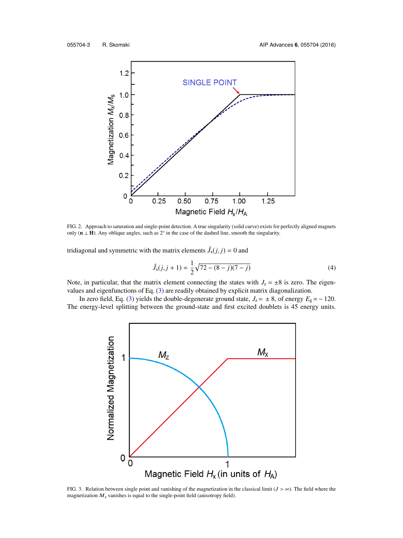<span id="page-3-0"></span>

FIG. 2. Approach to saturation and single-point detection. A true singularity (solid curve) exists for perfectly aligned magnets only ( $\mathbf{n} \perp \mathbf{H}$ ). Any oblique angles, such as  $2^\circ$  in the case of the dashed line, smooth the singularity.

tridiagonal and symmetric with the matrix elements  $\hat{J}_x(j, j) = 0$  and

$$
\hat{J}_x(j,j+1) = \frac{1}{2}\sqrt{72 - (8-j)(7-j)}\tag{4}
$$

Note, in particular, that the matrix element connecting the states with  $J_z = \pm 8$  is zero. The eigenvalues and eigenfunctions of Eq. [\(3\)](#page-2-2) are readily obtained by explicit matrix diagonalization.

<span id="page-3-1"></span>In zero field, Eq. [\(3\)](#page-2-2) yields the double-degenerate ground state,  $J_z = \pm 8$ , of energy  $E_g = -120$ . The energy-level splitting between the ground-state and first excited doublets is 45 energy units.



FIG. 3. Relation between single point and vanishing of the magnetization in the classical limit ( $J > \infty$ ). The field where the magnetization  $M_z$  vanishes is equal to the single-point field (anisotropy field).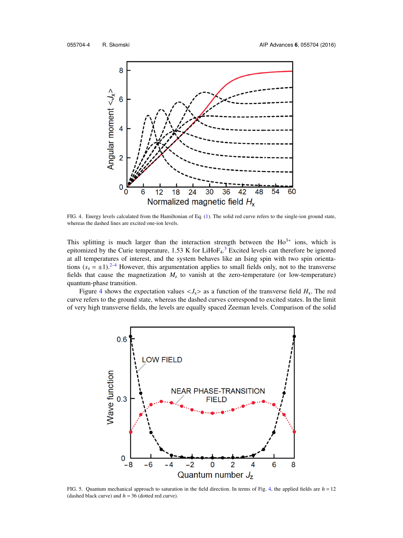<span id="page-4-0"></span>

FIG. 4. Energy levels calculated from the Hamiltonian of Eq. [\(1\).](#page-2-1) The solid red curve refers to the single-ion ground state, whereas the dashed lines are excited one-ion levels.

This splitting is much larger than the interaction strength between the  $Ho^{3+}$  ions, which is epitomized by the Curie temperature,  $1.53 \text{ K}$  $1.53 \text{ K}$  $1.53 \text{ K}$  for LiHo $F_4$ .<sup>3</sup> Excited levels can therefore be ignored at all temperatures of interest, and the system behaves like an Ising spin with two spin orientations  $(s_2 = \pm 1).^{2-4}$  $(s_2 = \pm 1).^{2-4}$  $(s_2 = \pm 1).^{2-4}$  However, this argumentation applies to small fields only, not to the transverse fields that cause the magnetization  $M<sub>z</sub>$  to vanish at the zero-temperature (or low-temperature) quantum-phase transition.

Figure [4](#page-4-0) shows the expectation values  $\langle J_x \rangle$  as a function of the transverse field  $H_x$ . The red curve refers to the ground state, whereas the dashed curves correspond to excited states. In the limit of very high transverse fields, the levels are equally spaced Zeeman levels. Comparison of the solid

<span id="page-4-1"></span>

FIG. 5. Quantum mechanical approach to saturation in the field direction. In terms of Fig. [4,](#page-4-0) the applied fields are  $h = 12$ (dashed black curve) and  $h = 36$  (dotted red curve).